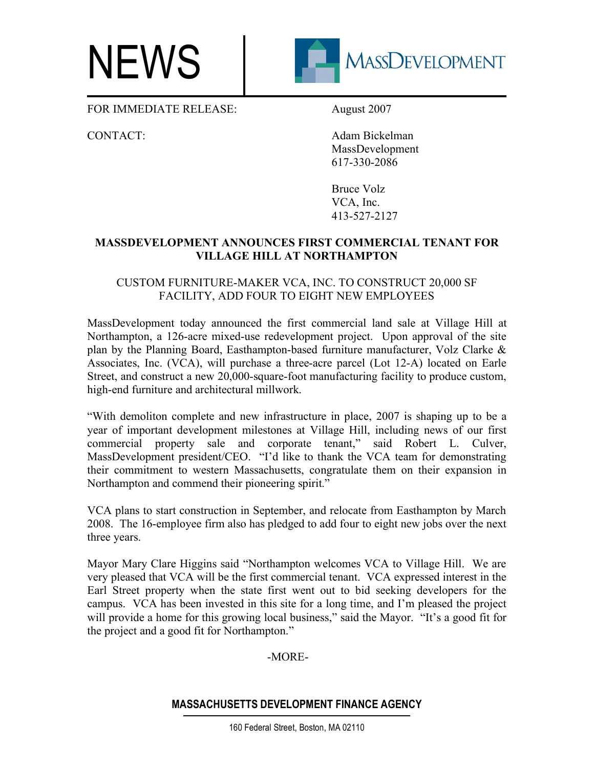## NEWS



FOR IMMEDIATE RELEASE: August 2007

CONTACT: Adam Bickelman MassDevelopment 617-330-2086

> Bruce Volz VCA, Inc. 413-527-2127

## **MASSDEVELOPMENT ANNOUNCES FIRST COMMERCIAL TENANT FOR VILLAGE HILL AT NORTHAMPTON**

## CUSTOM FURNITURE-MAKER VCA, INC. TO CONSTRUCT 20,000 SF FACILITY, ADD FOUR TO EIGHT NEW EMPLOYEES

MassDevelopment today announced the first commercial land sale at Village Hill at Northampton, a 126-acre mixed-use redevelopment project. Upon approval of the site plan by the Planning Board, Easthampton-based furniture manufacturer, Volz Clarke & Associates, Inc. (VCA), will purchase a three-acre parcel (Lot 12-A) located on Earle Street, and construct a new 20,000-square-foot manufacturing facility to produce custom, high-end furniture and architectural millwork.

"With demoliton complete and new infrastructure in place, 2007 is shaping up to be a year of important development milestones at Village Hill, including news of our first commercial property sale and corporate tenant," said Robert L. Culver, MassDevelopment president/CEO. "I'd like to thank the VCA team for demonstrating their commitment to western Massachusetts, congratulate them on their expansion in Northampton and commend their pioneering spirit."

VCA plans to start construction in September, and relocate from Easthampton by March 2008. The 16-employee firm also has pledged to add four to eight new jobs over the next three years.

Mayor Mary Clare Higgins said "Northampton welcomes VCA to Village Hill. We are very pleased that VCA will be the first commercial tenant. VCA expressed interest in the Earl Street property when the state first went out to bid seeking developers for the campus. VCA has been invested in this site for a long time, and I'm pleased the project will provide a home for this growing local business," said the Mayor. "It's a good fit for the project and a good fit for Northampton."

-MORE-

## **MASSACHUSETTS DEVELOPMENT FINANCE AGENCY**